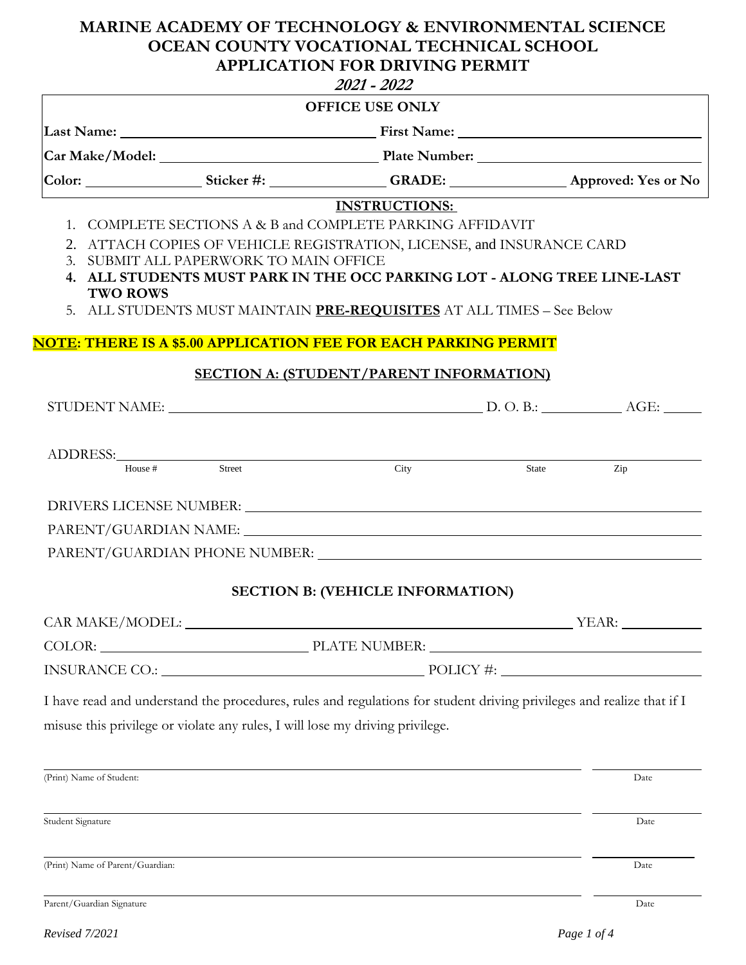# **MARINE ACADEMY OF TECHNOLOGY & ENVIRONMENTAL SCIENCE OCEAN COUNTY VOCATIONAL TECHNICAL SCHOOL APPLICATION FOR DRIVING PERMIT**

|                                  |                                                                               | 2021 - 2022                                                                                                                                                                                                                    |       |             |
|----------------------------------|-------------------------------------------------------------------------------|--------------------------------------------------------------------------------------------------------------------------------------------------------------------------------------------------------------------------------|-------|-------------|
|                                  |                                                                               | <b>OFFICE USE ONLY</b>                                                                                                                                                                                                         |       |             |
|                                  |                                                                               |                                                                                                                                                                                                                                |       |             |
|                                  |                                                                               |                                                                                                                                                                                                                                |       |             |
|                                  |                                                                               |                                                                                                                                                                                                                                |       |             |
|                                  |                                                                               | <b>INSTRUCTIONS:</b>                                                                                                                                                                                                           |       |             |
|                                  |                                                                               | 1. COMPLETE SECTIONS A & B and COMPLETE PARKING AFFIDAVIT                                                                                                                                                                      |       |             |
| 3 <sub>1</sub>                   | SUBMIT ALL PAPERWORK TO MAIN OFFICE                                           | 2. ATTACH COPIES OF VEHICLE REGISTRATION, LICENSE, and INSURANCE CARD                                                                                                                                                          |       |             |
|                                  |                                                                               | 4. ALL STUDENTS MUST PARK IN THE OCC PARKING LOT - ALONG TREE LINE-LAST                                                                                                                                                        |       |             |
| <b>TWO ROWS</b>                  |                                                                               | 5. ALL STUDENTS MUST MAINTAIN PRE-REQUISITES AT ALL TIMES - See Below                                                                                                                                                          |       |             |
|                                  |                                                                               |                                                                                                                                                                                                                                |       |             |
|                                  |                                                                               | <u>NOTE: THERE IS A \$5.00 APPLICATION FEE FOR EACH PARKING PERMIT</u>                                                                                                                                                         |       |             |
|                                  |                                                                               | <b>SECTION A: (STUDENT/PARENT INFORMATION)</b>                                                                                                                                                                                 |       |             |
|                                  |                                                                               |                                                                                                                                                                                                                                |       |             |
|                                  |                                                                               |                                                                                                                                                                                                                                |       |             |
|                                  |                                                                               | ADDRESS: $\frac{1}{\text{Hence #}}$ Street City                                                                                                                                                                                |       |             |
|                                  |                                                                               |                                                                                                                                                                                                                                | State | Zip         |
|                                  |                                                                               | DRIVERS LICENSE NUMBER: The Second Second Second Second Second Second Second Second Second Second Second Second Second Second Second Second Second Second Second Second Second Second Second Second Second Second Second Secon |       |             |
|                                  |                                                                               |                                                                                                                                                                                                                                |       |             |
|                                  |                                                                               | PARENT/GUARDIAN PHONE NUMBER: University of the contract of the contract of the contract of the contract of the contract of the contract of the contract of the contract of the contract of the contract of the contract of th |       |             |
|                                  |                                                                               |                                                                                                                                                                                                                                |       |             |
|                                  |                                                                               | <b>SECTION B: (VEHICLE INFORMATION)</b>                                                                                                                                                                                        |       |             |
|                                  |                                                                               | CAR MAKE/MODEL: THE SERVICE OF THE SERVICE OF THE SERVICE OF THE SERVICE OF THE SERVICE OF THE SERVICE OF THE SERVICE OF THE SERVICE OF THE SERVICE OF THE SERVICE OF THE SERVICE OF THE SERVICE OF THE SERVICE OF THE SERVICE |       |             |
|                                  |                                                                               |                                                                                                                                                                                                                                |       |             |
|                                  |                                                                               |                                                                                                                                                                                                                                |       |             |
|                                  |                                                                               | I have read and understand the procedures, rules and regulations for student driving privileges and realize that if I                                                                                                          |       |             |
|                                  | misuse this privilege or violate any rules, I will lose my driving privilege. |                                                                                                                                                                                                                                |       |             |
|                                  |                                                                               |                                                                                                                                                                                                                                |       |             |
| (Print) Name of Student:         |                                                                               |                                                                                                                                                                                                                                |       | Date        |
|                                  |                                                                               |                                                                                                                                                                                                                                |       |             |
| Student Signature                |                                                                               |                                                                                                                                                                                                                                |       | Date        |
|                                  |                                                                               |                                                                                                                                                                                                                                |       |             |
| (Print) Name of Parent/Guardian: |                                                                               |                                                                                                                                                                                                                                |       | Date        |
| Parent/Guardian Signature        |                                                                               |                                                                                                                                                                                                                                |       | Date        |
|                                  |                                                                               |                                                                                                                                                                                                                                |       |             |
| Revised 7/2021                   |                                                                               |                                                                                                                                                                                                                                |       | Page 1 of 4 |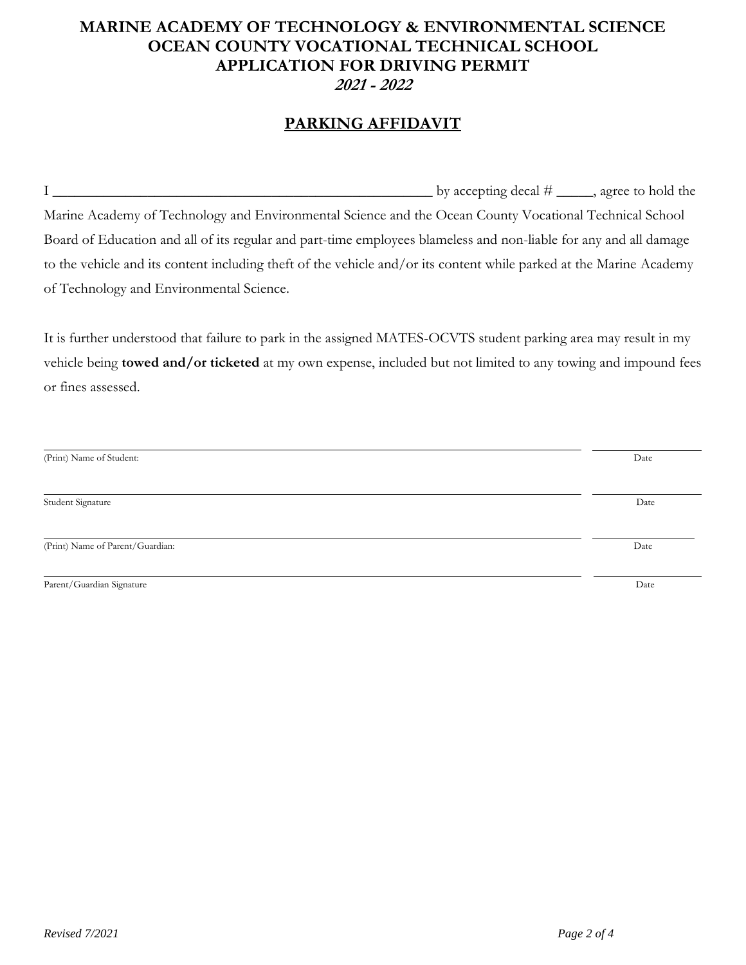# **MARINE ACADEMY OF TECHNOLOGY & ENVIRONMENTAL SCIENCE OCEAN COUNTY VOCATIONAL TECHNICAL SCHOOL APPLICATION FOR DRIVING PERMIT 2021 - 2022**

## **PARKING AFFIDAVIT**

I  $\frac{1}{2}$  by accepting decal  $\#$   $\frac{1}{2}$ , agree to hold the Marine Academy of Technology and Environmental Science and the Ocean County Vocational Technical School Board of Education and all of its regular and part-time employees blameless and non-liable for any and all damage to the vehicle and its content including theft of the vehicle and/or its content while parked at the Marine Academy of Technology and Environmental Science.

It is further understood that failure to park in the assigned MATES-OCVTS student parking area may result in my vehicle being **towed and/or ticketed** at my own expense, included but not limited to any towing and impound fees or fines assessed.

| (Print) Name of Student:         | Date |
|----------------------------------|------|
|                                  |      |
| Student Signature                | Date |
|                                  |      |
| (Print) Name of Parent/Guardian: | Date |
|                                  |      |
| Parent/Guardian Signature        | Date |
|                                  |      |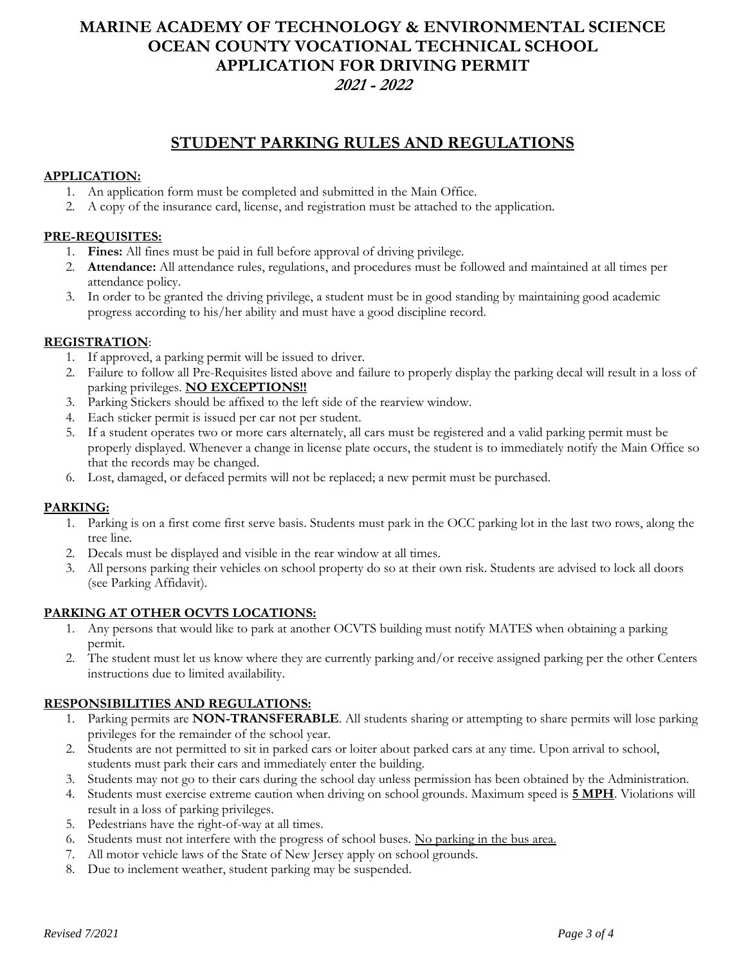## **MARINE ACADEMY OF TECHNOLOGY & ENVIRONMENTAL SCIENCE OCEAN COUNTY VOCATIONAL TECHNICAL SCHOOL APPLICATION FOR DRIVING PERMIT 2021 - 2022**

## **STUDENT PARKING RULES AND REGULATIONS**

### **APPLICATION:**

- 1. An application form must be completed and submitted in the Main Office.
- 2. A copy of the insurance card, license, and registration must be attached to the application.

### **PRE-REQUISITES:**

- 1. **Fines:** All fines must be paid in full before approval of driving privilege.
- 2. **Attendance:** All attendance rules, regulations, and procedures must be followed and maintained at all times per attendance policy.
- 3. In order to be granted the driving privilege, a student must be in good standing by maintaining good academic progress according to his/her ability and must have a good discipline record.

### **REGISTRATION**:

- 1. If approved, a parking permit will be issued to driver.
- 2. Failure to follow all Pre-Requisites listed above and failure to properly display the parking decal will result in a loss of parking privileges. **NO EXCEPTIONS!!**
- 3. Parking Stickers should be affixed to the left side of the rearview window.
- 4. Each sticker permit is issued per car not per student.
- 5. If a student operates two or more cars alternately, all cars must be registered and a valid parking permit must be properly displayed. Whenever a change in license plate occurs, the student is to immediately notify the Main Office so that the records may be changed.
- 6. Lost, damaged, or defaced permits will not be replaced; a new permit must be purchased.

## **PARKING:**

- 1. Parking is on a first come first serve basis. Students must park in the OCC parking lot in the last two rows, along the tree line.
- 2. Decals must be displayed and visible in the rear window at all times.
- 3. All persons parking their vehicles on school property do so at their own risk. Students are advised to lock all doors (see Parking Affidavit).

### **PARKING AT OTHER OCVTS LOCATIONS:**

- 1. Any persons that would like to park at another OCVTS building must notify MATES when obtaining a parking permit.
- 2. The student must let us know where they are currently parking and/or receive assigned parking per the other Centers instructions due to limited availability.

## **RESPONSIBILITIES AND REGULATIONS:**

- 1. Parking permits are **NON-TRANSFERABLE**. All students sharing or attempting to share permits will lose parking privileges for the remainder of the school year.
- 2. Students are not permitted to sit in parked cars or loiter about parked cars at any time. Upon arrival to school, students must park their cars and immediately enter the building.
- 3. Students may not go to their cars during the school day unless permission has been obtained by the Administration.
- 4. Students must exercise extreme caution when driving on school grounds. Maximum speed is **5 MPH**. Violations will result in a loss of parking privileges.
- 5. Pedestrians have the right-of-way at all times.
- 6. Students must not interfere with the progress of school buses. No parking in the bus area.
- 7. All motor vehicle laws of the State of New Jersey apply on school grounds.
- 8. Due to inclement weather, student parking may be suspended.